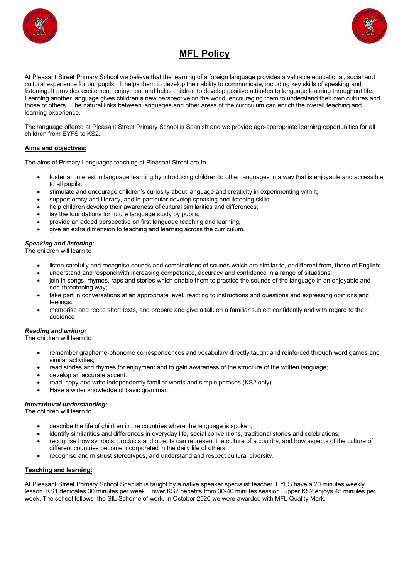



# **MFL Policy**

At Pleasant Street Primary School we believe that the learning of a foreign language provides a valuable educational, social and cultural experience for our pupils. It helps them to develop their ability to communicate, including key skills of speaking and listening. It provides excitement, enjoyment and helps children to develop positive attitudes to language learning throughout lif*e.* Learning another language gives children a new perspective on the world, encouraging them to understand their own cultures and those of others. The natural links between languages and other areas of the curriculum can enrich the overall teaching and learning experience.

The language offered at Pleasant Street Primary School is Spanish and we provide age-appropriate learning opportunities for all children from EYFS to KS2.

# **Aims and objectives:**

The aims of Primary Languages teaching at Pleasant Street are to

- foster an interest in language learning by introducing children to other languages in a way that is enjoyable and accessible to all pupils;
- stimulate and encourage children's curiosity about language and creativity in experimenting with it;
- support oracy and literacy, and in particular develop speaking and listening skills;
- help children develop their awareness of cultural similarities and differences;
- lay the foundations for future language study by pupils;
- provide an added perspective on first language teaching and learning;
- give an extra dimension to teaching and learning across the curriculum.

# *Speaking and listening:*

The children will learn to

- listen carefully and recognise sounds and combinations of sounds which are similar to, or different from, those of English;
- understand and respond with increasing competence, accuracy and confidence in a range of situations;
- join in songs, rhymes, raps and stories which enable them to practise the sounds of the language in an enjoyable and non-threatening way;
- take part in conversations at an appropriate level, reacting to instructions and questions and expressing opinions and feelings;
- memorise and recite short texts, and prepare and give a talk on a familiar subject confidently and with regard to the audience

## *Reading and writing:*

The children will learn to

- remember grapheme-phoneme correspondences and vocabulary directly taught and reinforced through word games and similar activities;
- read stories and rhymes for enjoyment and to gain awareness of the structure of the written language;
- develop an accurate accent.
- read, copy and write independently familiar words and simple phrases (KS2 only).
- Have a wider knowledge of basic grammar.

#### *Intercultural understanding:*

The children will learn to

- describe the life of children in the countries where the language is spoken;
- identify similarities and differences in everyday life, social conventions, traditional stories and celebrations;
- recognise how symbols, products and objects can represent the culture of a country, and how aspects of the culture of different countries become incorporated in the daily life of others;
- recognise and mistrust stereotypes, and understand and respect cultural diversity.

### **Teaching and learning:**

At Pleasant Street Primary School Spanish is taught by a native speaker specialist teacher. EYFS have a 20 minutes weekly lesson. KS1 dedicates 30 minutes per week. Lower KS2 benefits from 30-40 minutes session. Upper KS2 enjoys 45 minutes per week. The school follows the SIL Scheme of work. In October 2020 we were awarded with MFL Quality Mark.